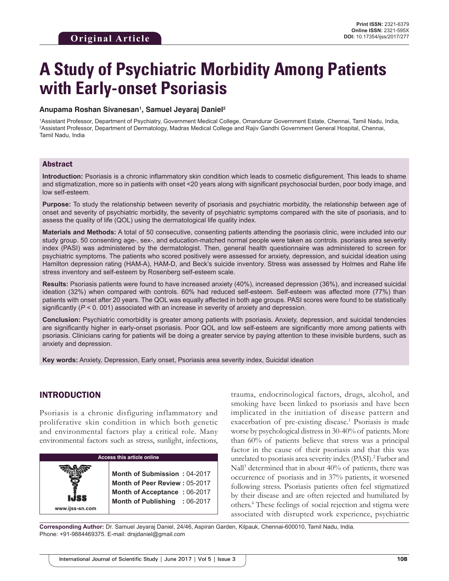# **A Study of Psychiatric Morbidity Among Patients with Early-onset Psoriasis**

#### **Anupama Roshan Sivanesan1 , Samuel Jeyaraj Daniel2**

1 Assistant Professor, Department of Psychiatry, Government Medical College, Omandurar Government Estate, Chennai, Tamil Nadu, India, 2 Assistant Professor, Department of Dermatology, Madras Medical College and Rajiv Gandhi Government General Hospital, Chennai, Tamil Nadu, India

#### Abstract

**Introduction:** Psoriasis is a chronic inflammatory skin condition which leads to cosmetic disfigurement. This leads to shame and stigmatization, more so in patients with onset <20 years along with significant psychosocial burden, poor body image, and low self-esteem.

**Purpose:** To study the relationship between severity of psoriasis and psychiatric morbidity, the relationship between age of onset and severity of psychiatric morbidity, the severity of psychiatric symptoms compared with the site of psoriasis, and to assess the quality of life (QOL) using the dermatological life quality index.

**Materials and Methods:** A total of 50 consecutive, consenting patients attending the psoriasis clinic, were included into our study group. 50 consenting age-, sex-, and education-matched normal people were taken as controls. psoriasis area severity index (PASI) was administered by the dermatologist. Then, general health questionnaire was administered to screen for psychiatric symptoms. The patients who scored positively were assessed for anxiety, depression, and suicidal ideation using Hamilton depression rating (HAM-A), HAM-D, and Beck's suicide inventory. Stress was assessed by Holmes and Rahe life stress inventory and self-esteem by Rosenberg self-esteem scale.

**Results:** Psoriasis patients were found to have increased anxiety (40%), increased depression (36%), and increased suicidal ideation (32%) when compared with controls. 60% had reduced self-esteem. Self-esteem was affected more (77%) than patients with onset after 20 years. The QOL was equally affected in both age groups. PASI scores were found to be statistically significantly ( $P < 0.001$ ) associated with an increase in severity of anxiety and depression.

**Conclusion:** Psychiatric comorbidity is greater among patients with psoriasis. Anxiety, depression, and suicidal tendencies are significantly higher in early-onset psoriasis. Poor QOL and low self-esteem are significantly more among patients with psoriasis. Clinicians caring for patients will be doing a greater service by paying attention to these invisible burdens, such as anxiety and depression.

**Key words:** Anxiety, Depression, Early onset, Psoriasis area severity index, Suicidal ideation

## INTRODUCTION

Psoriasis is a chronic disfiguring inflammatory and proliferative skin condition in which both genetic and environmental factors play a critical role. Many environmental factors such as stress, sunlight, infections,



trauma, endocrinological factors, drugs, alcohol, and smoking have been linked to psoriasis and have been implicated in the initiation of disease pattern and exacerbation of pre-existing disease.<sup>1</sup> Psoriasis is made worse by psychological distress in 30-40% of patients. More than 60% of patients believe that stress was a principal factor in the cause of their psoriasis and that this was unrelated to psoriasis area severity index (PASI).<sup>2</sup> Farber and Nall<sup>3</sup> determined that in about 40% of patients, there was occurrence of psoriasis and in 37% patients, it worsened following stress. Psoriasis patients often feel stigmatized by their disease and are often rejected and humiliated by others.4 These feelings of social rejection and stigma were associated with disrupted work experience, psychiatric

**Corresponding Author:** Dr. Samuel Jeyaraj Daniel, 24/46, Aspiran Garden, Kilpauk, Chennai-600010, Tamil Nadu, India. Phone: +91-9884469375. E-mail: drsjdaniel@gmail.com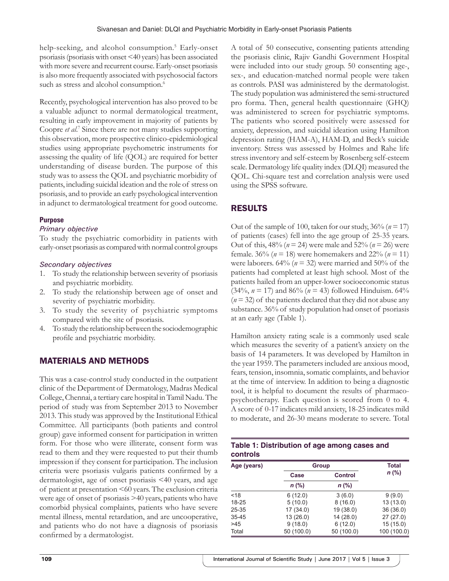help-seeking, and alcohol consumption.<sup>5</sup> Early-onset psoriasis (psoriasis with onset <40 years) has been associated with more severe and recurrent course. Early-onset psoriasis is also more frequently associated with psychosocial factors such as stress and alcohol consumption.<sup>6</sup>

Recently, psychological intervention has also proved to be a valuable adjunct to normal dermatological treatment, resulting in early improvement in majority of patients by Coopre *et al.*<sup>7</sup> Since there are not many studies supporting this observation, more prospective clinico-epidemiological studies using appropriate psychometric instruments for assessing the quality of life (QOL) are required for better understanding of disease burden. The purpose of this study was to assess the QOL and psychiatric morbidity of patients, including suicidal ideation and the role of stress on psoriasis, and to provide an early psychological intervention in adjunct to dermatological treatment for good outcome.

## **Purpose**

### *Primary objective*

To study the psychiatric comorbidity in patients with early-onset psoriasis as compared with normal control groups

### *Secondary objectives*

- 1. To study the relationship between severity of psoriasis and psychiatric morbidity.
- 2. To study the relationship between age of onset and severity of psychiatric morbidity.
- 3. To study the severity of psychiatric symptoms compared with the site of psoriasis.
- 4. To study the relationship between the sociodemographic profile and psychiatric morbidity.

# MATERIALS AND METHODS

This was a case-control study conducted in the outpatient clinic of the Department of Dermatology, Madras Medical College, Chennai, a tertiary care hospital in Tamil Nadu. The period of study was from September 2013 to November 2013. This study was approved by the Institutional Ethical Committee. All participants (both patients and control group) gave informed consent for participation in written form. For those who were illiterate, consent form was read to them and they were requested to put their thumb impression if they consent for participation. The inclusion criteria were psoriasis vulgaris patients confirmed by a dermatologist, age of onset psoriasis <40 years, and age of patient at presentation <60 years. The exclusion criteria were age of onset of psoriasis >40 years, patients who have comorbid physical complaints, patients who have severe mental illness, mental retardation, and are uncooperative, and patients who do not have a diagnosis of psoriasis confirmed by a dermatologist.

A total of 50 consecutive, consenting patients attending the psoriasis clinic, Rajiv Gandhi Government Hospital were included into our study group. 50 consenting age-, sex-, and education-matched normal people were taken as controls. PASI was administered by the dermatologist. The study population was administered the semi-structured pro forma. Then, general health questionnaire (GHQ) was administered to screen for psychiatric symptoms. The patients who scored positively were assessed for anxiety, depression, and suicidal ideation using Hamilton depression rating (HAM-A), HAM-D, and Beck's suicide inventory. Stress was assessed by Holmes and Rahe life stress inventory and self-esteem by Rosenberg self-esteem scale. Dermatology life quality index (DLQI) measured the QOL. Chi-square test and correlation analysis were used using the SPSS software.

# RESULTS

Out of the sample of 100, taken for our study,  $36\%$  ( $n = 17$ ) of patients (cases) fell into the age group of 25-35 years. Out of this,  $48\%$  ( $n = 24$ ) were male and  $52\%$  ( $n = 26$ ) were female. 36% (*n* = 18) were homemakers and 22% (*n* = 11) were laborers.  $64\%$  ( $n = 32$ ) were married and  $50\%$  of the patients had completed at least high school. Most of the patients hailed from an upper-lower socioeconomic status (34%,  $n = 17$ ) and 86% ( $n = 43$ ) followed Hinduism. 64%  $(n=32)$  of the patients declared that they did not abuse any substance. 36% of study population had onset of psoriasis at an early age (Table 1).

Hamilton anxiety rating scale is a commonly used scale which measures the severity of a patient's anxiety on the basis of 14 parameters. It was developed by Hamilton in the year 1959. The parameters included are anxious mood, fears, tension, insomnia, somatic complaints, and behavior at the time of interview. In addition to being a diagnostic tool, it is helpful to document the results of pharmacopsychotherapy. Each question is scored from 0 to 4. A score of 0-17 indicates mild anxiety, 18-25 indicates mild to moderate, and 26-30 means moderate to severe. Total

| Table 1: Distribution of age among cases and |  |
|----------------------------------------------|--|
| controls                                     |  |

| Age (years) |            | Group          |             |  |
|-------------|------------|----------------|-------------|--|
|             | Case       | <b>Control</b> | $n$ (%)     |  |
|             | $n$ (%)    | $n$ (%)        |             |  |
| < 18        | 6(12.0)    | 3(6.0)         | 9(9.0)      |  |
| $18 - 25$   | 5(10.0)    | 8(16.0)        | 13 (13.0)   |  |
| 25-35       | 17(34.0)   | 19 (38.0)      | 36(36.0)    |  |
| $35 - 45$   | 13(26.0)   | 14(28.0)       | 27(27.0)    |  |
| >45         | 9(18.0)    | 6(12.0)        | 15(15.0)    |  |
| Total       | 50 (100.0) | 50 (100.0)     | 100 (100.0) |  |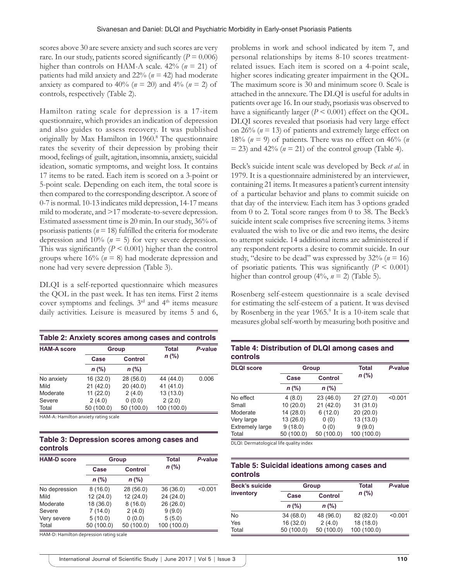scores above 30 are severe anxiety and such scores are very rare. In our study, patients scored significantly  $(P = 0.006)$ higher than controls on HAM-A scale.  $42\%$  ( $n = 21$ ) of patients had mild anxiety and 22% (*n* = 42) had moderate anxiety as compared to 40% ( $n = 20$ ) and 4% ( $n = 2$ ) of controls, respectively (Table 2).

Hamilton rating scale for depression is a 17-item questionnaire, which provides an indication of depression and also guides to assess recovery. It was published originally by Max Hamilton in 1960.8 The questionnaire rates the severity of their depression by probing their mood, feelings of guilt, agitation, insomnia, anxiety, suicidal ideation, somatic symptoms, and weight loss. It contains 17 items to be rated. Each item is scored on a 3-point or 5-point scale. Depending on each item, the total score is then compared to the corresponding descriptor. A score of 0-7 is normal. 10-13 indicates mild depression, 14-17 means mild to moderate, and >17 moderate-to-severe depression. Estimated assessment time is 20 min. In our study, 36% of psoriasis patients ( $n = 18$ ) fulfilled the criteria for moderate depression and  $10\%$  ( $n = 5$ ) for very severe depression. This was significantly  $(P < 0.001)$  higher than the control groups where 16% (*n* = 8) had moderate depression and none had very severe depression (Table 3).

DLQI is a self-reported questionnaire which measures the QOL in the past week. It has ten items. First 2 items cover symptoms and feelings. 3rd and 4th items measure daily activities. Leisure is measured by items 5 and 6,

| Table 2: Anxiety scores among cases and controls |         |                |                                                                               |         |  |  |  |
|--------------------------------------------------|---------|----------------|-------------------------------------------------------------------------------|---------|--|--|--|
| <b>HAM-A score</b>                               | Group   |                | Total                                                                         | P-value |  |  |  |
|                                                  | Case    | <b>Control</b> | $n$ (%)                                                                       |         |  |  |  |
|                                                  | $n$ (%) | $n$ (%)        |                                                                               |         |  |  |  |
| $\cdots$                                         | 101000  | 001500         | $\mathbf{1}$ $\mathbf{1}$ $\mathbf{1}$ $\mathbf{1}$ $\mathbf{1}$ $\mathbf{1}$ | 0.000   |  |  |  |

| No anxiety | 16(32.0)   | 28(56.0)   | 44 (44.0)   | 0.006 |
|------------|------------|------------|-------------|-------|
| Mild       | 21(42.0)   | 20(40.0)   | 41 (41.0)   |       |
| Moderate   | 11(22.0)   | 2(4.0)     | 13(13.0)    |       |
| Severe     | 2(4.0)     | 0(0.0)     | 2(2.0)      |       |
| Total      | 50 (100.0) | 50 (100.0) | 100 (100.0) |       |

HAM‑A: Hamilton anxiety rating scale

## **Table 3: Depression scores among cases and controls**

| <b>HAM-D score</b> |            | Group      |             | P-value |  |
|--------------------|------------|------------|-------------|---------|--|
|                    | Case       | Control    | $n$ (%)     |         |  |
|                    | $n$ (%)    | $n$ (%)    |             |         |  |
| No depression      | 8(16.0)    | 28(56.0)   | 36(36.0)    | < 0.001 |  |
| Mild               | 12(24.0)   | 12(24.0)   | 24(24.0)    |         |  |
| Moderate           | 18 (36.0)  | 8(16.0)    | 26(26.0)    |         |  |
| Severe             | 7(14.0)    | 2(4.0)     | 9(9.0)      |         |  |
| Very severe        | 5(10.0)    | 0(0.0)     | 5(5.0)      |         |  |
| Total              | 50 (100.0) | 50 (100.0) | 100 (100.0) |         |  |

HAM‑D: Hamilton depression rating scale

problems in work and school indicated by item 7, and personal relationships by items 8-10 scores treatmentrelated issues. Each item is scored on a 4-point scale, higher scores indicating greater impairment in the QOL. The maximum score is 30 and minimum score 0. Scale is attached in the annexure. The DLQI is useful for adults in patients over age 16. In our study, psoriasis was observed to have a significantly larger  $(P < 0.001)$  effect on the QOL. DLQI scores revealed that psoriasis had very large effect on  $26\%$  ( $n = 13$ ) of patients and extremely large effect on 18% ( $n = 9$ ) of patients. There was no effect on 46% ( $n = 18$ )  $=$  23) and 42% ( $n = 21$ ) of the control group (Table 4).

Beck's suicide intent scale was developed by Beck *et al.* in 1979. It is a questionnaire administered by an interviewer, containing 21 items. It measures a patient's current intensity of a particular behavior and plans to commit suicide on that day of the interview. Each item has 3 options graded from 0 to 2. Total score ranges from 0 to 38. The Beck's suicide intent scale comprises five screening items. 3 items evaluated the wish to live or die and two items, the desire to attempt suicide. 14 additional items are administered if any respondent reports a desire to commit suicide. In our study, "desire to be dead" was expressed by 32% (*n* = 16) of psoriatic patients. This was significantly  $(P \leq 0.001)$ higher than control group  $(4\%, n = 2)$  (Table 5).

Rosenberg self-esteem questionnaire is a scale devised for estimating the self-esteem of a patient. It was devised by Rosenberg in the year 1965.<sup>9</sup> It is a 10-item scale that measures global self-worth by measuring both positive and

| Table 4: Distribution of DLQI among cases and |  |
|-----------------------------------------------|--|
| <b>controls</b>                               |  |

| <b>DLQI</b> score      |            | Group          | Total       | P-value |  |
|------------------------|------------|----------------|-------------|---------|--|
|                        | Case       | <b>Control</b> | $n$ (%)     |         |  |
|                        | $n$ (%)    | $n$ (%)        |             |         |  |
| No effect              | 4(8.0)     | 23(46.0)       | 27(27.0)    | < 0.001 |  |
| Small                  | 10(20.0)   | 21(42.0)       | 31(31.0)    |         |  |
| Moderate               | 14 (28.0)  | 6(12.0)        | 20(20.0)    |         |  |
| Very large             | 13(26.0)   | 0(0)           | 13 (13.0)   |         |  |
| <b>Extremely large</b> | 9(18.0)    | 0(0)           | 9(9.0)      |         |  |
| Total                  | 50 (100.0) | 50 (100.0)     | 100 (100.0) |         |  |

DLQI: Dermatological life quality index

### **Table 5: Suicidal ideations among cases and controls**

| <b>Beck's suicide</b> |            | Total<br>Group |             | P-value |  |
|-----------------------|------------|----------------|-------------|---------|--|
| inventory             | Case       | <b>Control</b> | $n$ (%)     |         |  |
|                       | $n$ (%)    | $n$ (%)        |             |         |  |
| No                    | 34 (68.0)  | 48 (96.0)      | 82 (82.0)   | < 0.001 |  |
| Yes                   | 16(32.0)   | 2(4.0)         | 18(18.0)    |         |  |
| Total                 | 50 (100.0) | 50 (100.0)     | 100 (100.0) |         |  |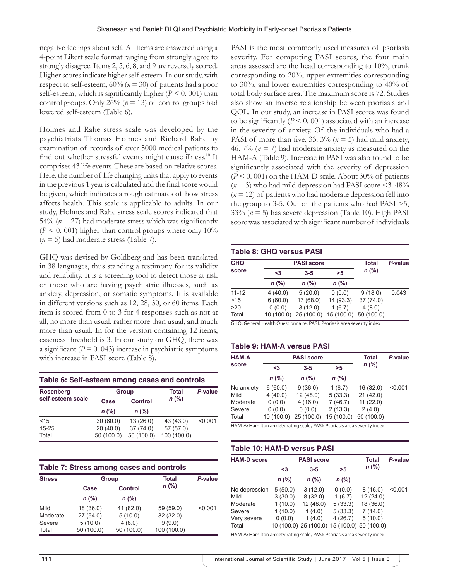negative feelings about self. All items are answered using a 4-point Likert scale format ranging from strongly agree to strongly disagree. Items 2, 5, 6, 8, and 9 are reversely scored. Higher scores indicate higher self-esteem. In our study, with respect to self-esteem, 60% (*n* = 30) of patients had a poor self-esteem, which is significantly higher  $(P < 0.001)$  than control groups. Only 26% (*n* = 13) of control groups had lowered self-esteem (Table 6).

Holmes and Rahe stress scale was developed by the psychiatrists Thomas Holmes and Richard Rahe by examination of records of over 5000 medical patients to find out whether stressful events might cause illness.10 It comprises 43 life events. These are based on relative scores. Here, the number of life changing units that apply to events in the previous 1 year is calculated and the final score would be given, which indicates a rough estimates of how stress affects health. This scale is applicable to adults. In our study, Holmes and Rahe stress scale scores indicated that 54% ( $n = 27$ ) had moderate stress which was significantly  $(P < 0.001)$  higher than control groups where only 10% (*n* = 5) had moderate stress (Table 7).

GHQ was devised by Goldberg and has been translated in 38 languages, thus standing a testimony for its validity and reliability. It is a screening tool to detect those at risk or those who are having psychiatric illnesses, such as anxiety, depression, or somatic symptoms. It is available in different versions such as 12, 28, 30, or 60 items. Each item is scored from 0 to 3 for 4 responses such as not at all, no more than usual, rather more than usual, and much more than usual. In for the version containing 12 items, caseness threshold is 3. In our study on GHQ, there was a significant  $(P = 0.043)$  increase in psychiatric symptoms with increase in PASI score (Table 8).

| Table 6: Self-esteem among cases and controls |              |                |             |         |  |  |  |
|-----------------------------------------------|--------------|----------------|-------------|---------|--|--|--|
| <b>Rosenberg</b>                              | <b>Group</b> |                | Total       | P-value |  |  |  |
| self-esteem scale                             | Case         | <b>Control</b> | $n$ (%)     |         |  |  |  |
|                                               | $n$ (%)      | $n$ (%)        |             |         |  |  |  |
| < 15                                          | 30(60.0)     | 13(26.0)       | 43 (43.0)   | < 0.001 |  |  |  |
| $15 - 25$                                     | 20(40.0)     | 37(74.0)       | 57 (57.0)   |         |  |  |  |
| Total                                         | 50 (100.0)   | 50 (100.0)     | 100 (100.0) |         |  |  |  |

| Table 7: Stress among cases and controls |            |            |              |         |  |  |  |
|------------------------------------------|------------|------------|--------------|---------|--|--|--|
| <b>Stress</b>                            |            | Group      | <b>Total</b> | P-value |  |  |  |
|                                          | Case       | Control    | $n$ (%)      |         |  |  |  |
|                                          | $n$ (%)    | $n$ (%)    |              |         |  |  |  |
| Mild                                     | 18 (36.0)  | 41 (82.0)  | 59 (59.0)    | < 0.001 |  |  |  |
| Moderate                                 | 27(54.0)   | 5(10.0)    | 32(32.0)     |         |  |  |  |
| Severe                                   | 5(10.0)    | 4(8.0)     | 9(9.0)       |         |  |  |  |
| Total                                    | 50 (100.0) | 50 (100.0) | 100 (100.0)  |         |  |  |  |

PASI is the most commonly used measures of psoriasis severity. For computing PASI scores, the four main areas assessed are the head corresponding to 10%, trunk corresponding to 20%, upper extremities corresponding to 30%, and lower extremities corresponding to 40% of total body surface area. The maximum score is 72. Studies also show an inverse relationship between psoriasis and QOL. In our study, an increase in PASI scores was found to be significantly  $(P \le 0.001)$  associated with an increase in the severity of anxiety. Of the individuals who had a PASI of more than five, 33.  $3\%$  ( $n = 5$ ) had mild anxiety, 46. 7% (*n* = 7) had moderate anxiety as measured on the HAM-A (Table 9). Increase in PASI was also found to be significantly associated with the severity of depression  $(P < 0.001)$  on the HAM-D scale. About 30% of patients  $(n=3)$  who had mild depression had PASI score <3.48%  $(n = 12)$  of patients who had moderate depression fell into the group to 3-5. Out of the patients who had PASI >5, 33% (*n* = 5) has severe depression (Table 10). High PASI score was associated with significant number of individuals

| <b>Table 8: GHQ versus PASI</b> |           |                   |            |              |         |
|---------------------------------|-----------|-------------------|------------|--------------|---------|
| <b>GHQ</b>                      |           | <b>PASI score</b> |            | <b>Total</b> | P-value |
| score                           | <3        | $3 - 5$           | >5         | $n$ (%)      |         |
|                                 | $n$ (%)   | $n$ (%)           | $n$ (%)    |              |         |
| $11 - 12$                       | 4(40.0)   | 5(20.0)           | 0(0.0)     | 9(18.0)      | 0.043   |
| >15                             | 6(60.0)   | 17 (68.0)         | 14(93.3)   | 37(74.0)     |         |
| >20                             | 0(0.0)    | 3(12.0)           | 1(6.7)     | 4(8.0)       |         |
| Total                           | 10(100.0) | 25 (100.0)        | 15 (100.0) | 50 (100.0)   |         |

GHQ: General Health Questionnaire, PASI: Psoriasis area severity index

#### **Table 9: HAM‑A versus PASI**

| <b>HAM-A</b> |            | <b>PASI score</b> |            |            | P-value |  |
|--------------|------------|-------------------|------------|------------|---------|--|
| score        | $3$        | $3 - 5$           | >5         | $n$ (%)    |         |  |
|              | $n$ (%)    | $n$ (%)           | $n$ (%)    |            |         |  |
| No anxiety   | 6(60.0)    | 9(36.0)           | 1(6.7)     | 16(32.0)   | < 0.001 |  |
| Mild         | 4(40.0)    | 12(48.0)          | 5(33.3)    | 21(42.0)   |         |  |
| Moderate     | 0(0.0)     | 4(16.0)           | 7(46.7)    | 11(22.0)   |         |  |
| Severe       | 0(0.0)     | 0(0.0)            | 2(13.3)    | 2(4.0)     |         |  |
| Total        | 10 (100.0) | 25 (100.0)        | 15 (100.0) | 50 (100.0) |         |  |

HAM‑A: Hamilton anxiety rating scale, PASI: Psoriasis area severity index

| Table 10: HAM-D versus PASI |                   |                                             |         |           |         |
|-----------------------------|-------------------|---------------------------------------------|---------|-----------|---------|
| <b>HAM-D score</b>          | <b>PASI score</b> |                                             |         | Total     | P-value |
|                             | <3                | $3 - 5$                                     | >5      | n (%)     |         |
|                             | $n$ (%)           | $n$ (%)                                     | $n$ (%) |           |         |
| No depression               | 5(50.0)           | 3(12.0)                                     | 0(0.0)  | 8(16.0)   | < 0.001 |
| Mild                        | 3(30.0)           | 8(32.0)                                     | 1(6.7)  | 12(24.0)  |         |
| Moderate                    | 1(10.0)           | 12(48.0)                                    | 5(33.3) | 18 (36.0) |         |
| Severe                      | 1(10.0)           | 1(4.0)                                      | 5(33.3) | 7(14.0)   |         |
| Very severe                 | 0(0.0)            | 1(4.0)                                      | 4(26.7) | 5(10.0)   |         |
| Total                       |                   | 10 (100.0) 25 (100.0) 15 (100.0) 50 (100.0) |         |           |         |

HAM‑A: Hamilton anxiety rating scale, PASI: Psoriasis area severity index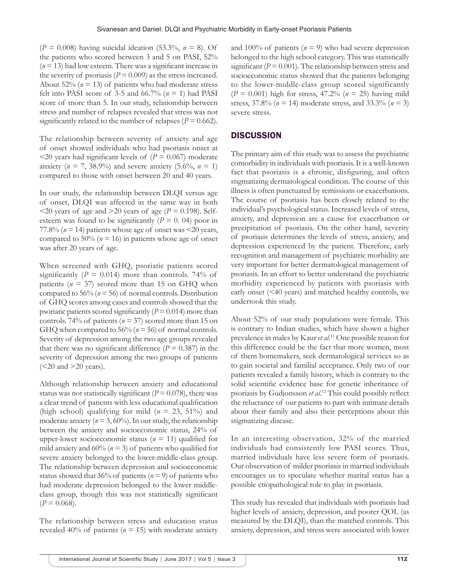$(P = 0.008)$  having suicidal ideation (53.3%,  $n = 8$ ). Of the patients who scored between 3 and 5 on PASI, 52%  $(n = 13)$  had low esteem. There was a significant increase in the severity of psoriasis ( $P = 0.009$ ) as the stress increased. About  $52\%$  ( $n = 13$ ) of patients who had moderate stress felt into PASI score of 3-5 and 66.7% ( $n = 1$ ) had PASI score of more than 5. In our study, relationship between stress and number of relapses revealed that stress was not significantly related to the number of relapses ( $P = 0.662$ ).

The relationship between severity of anxiety and age of onset showed individuals who had psoriasis onset at  $\leq$ 20 years had significant levels of (*P* = 0.067) moderate anxiety ( $n = 7$ , 38.9%) and severe anxiety (5.6%,  $n = 1$ ) compared to those with onset between 20 and 40 years.

In our study, the relationship between DLQI versus age of onset, DLQI was affected in the same way in both  $\leq$ 20 years of age and  $\geq$ 20 years of age (*P* = 0.198). Selfesteem was found to be significantly  $(P = 0.04)$  poor in 77.8% ( $n = 14$ ) patients whose age of onset was <20 years, compared to 50% ( $n = 16$ ) in patients whose age of onset was after 20 years of age.

When screened with GHQ, psoriatic patients scored significantly  $(P = 0.014)$  more than controls. 74% of patients  $(n = 37)$  scored more than 15 on GHQ when compared to 56% ( $n = 56$ ) of normal controls. Distribution of GHQ scores among cases and controls showed that the psoriatic patients scored significantly  $(P = 0.014)$  more than controls. 74% of patients (*n* = 37) scored more than 15 on GHQ when compared to 56% (*n* = 56) of normal controls. Severity of depression among the two age groups revealed that there was no significant difference  $(P = 0.387)$  in the severity of depression among the two groups of patients  $(<20$  and  $>20$  years).

Although relationship between anxiety and educational status was not statistically significant ( $P = 0.078$ ), there was a clear trend of patients with less educational qualification (high school) qualifying for mild (*n* = 23, 51%) and moderate anxiety ( $n = 3$ , 60%). In our study, the relationship between the anxiety and socioeconomic status, 24% of upper-lower socioeconomic status ( $n = 11$ ) qualified for mild anxiety and  $60\%$  ( $n = 3$ ) of patients who qualified for severe anxiety belonged to the lower-middle-class group. The relationship between depression and socioeconomic status showed that 36% of patients  $(n = 9)$  of patients who had moderate depression belonged to the lower middleclass group, though this was not statistically significant  $(P = 0.068)$ .

The relationship between stress and education status revealed 40% of patients ( $n = 15$ ) with moderate anxiety and 100% of patients ( $n = 9$ ) who had severe depression belonged to the high school category. This was statistically significant ( $P = 0.001$ ). The relationship between stress and socioeconomic status showed that the patients belonging to the lower-middle-class group scored significantly  $(P = 0.001)$  high for stress, 47.2% ( $n = 25$ ) having mild stress, 37.8% (*n* = 14) moderate stress, and 33.3% (*n* = 3) severe stress.

# **DISCUSSION**

The primary aim of this study was to assess the psychiatric comorbidity in individuals with psoriasis. It is a well-known fact that psoriasis is a chronic, disfiguring, and often stigmatizing dermatological condition. The course of this illness is often punctuated by remissions or exacerbations. The course of psoriasis has been closely related to the individual's psychological status. Increased levels of stress, anxiety, and depression are a cause for exacerbation or precipitation of psoriasis. On the other hand, severity of psoriasis determines the levels of stress, anxiety, and depression experienced by the patient. Therefore, early recognition and management of psychiatric morbidity are very important for better dermatological management of psoriasis. In an effort to better understand the psychiatric morbidity experienced by patients with psoriasis with early onset (<40 years) and matched healthy controls, we undertook this study.

About 52% of our study populations were female. This is contrary to Indian studies, which have shown a higher prevalence in males by Kaur *et al*. 11 One possible reason for this difference could be the fact that more women, most of them homemakers, seek dermatological services so as to gain societal and familial acceptance. Only two of our patients revealed a family history, which is contrary to the solid scientific evidence base for genetic inheritance of psoriasis by Gudjonsson *et al*. <sup>12</sup> This could possibly reflect the reluctance of our patients to part with intimate details about their family and also their perceptions about this stigmatizing disease.

In an interesting observation, 32% of the married individuals had consistently low PASI scores. Thus, married individuals have less severe form of psoriasis. Our observation of milder psoriasis in married individuals encourages us to speculate whether marital status has a possible etiopathological role to play in psoriasis.

This study has revealed that individuals with psoriasis had higher levels of anxiety, depression, and poorer QOL (as measured by the DLQI), than the matched controls. This anxiety, depression, and stress were associated with lower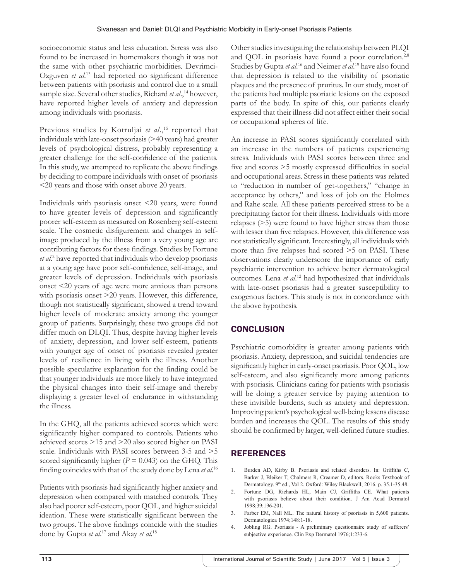socioeconomic status and less education. Stress was also found to be increased in homemakers though it was not the same with other psychiatric morbidities. Devrimci-Ozguven *et al*. <sup>13</sup> had reported no significant difference between patients with psoriasis and control due to a small sample size. Several other studies, Richard *et al.*,<sup>14</sup> however, have reported higher levels of anxiety and depression among individuals with psoriasis.

Previous studies by Kotruljai et al.,<sup>15</sup> reported that individuals with late-onset psoriasis (>40 years) had greater levels of psychological distress, probably representing a greater challenge for the self-confidence of the patients. In this study, we attempted to replicate the above findings by deciding to compare individuals with onset of psoriasis <20 years and those with onset above 20 years.

Individuals with psoriasis onset <20 years, were found to have greater levels of depression and significantly poorer self-esteem as measured on Rosenberg self-esteem scale. The cosmetic disfigurement and changes in selfimage produced by the illness from a very young age are contributing factors for these findings. Studies by Fortune *et al*. 2 have reported that individuals who develop psoriasis at a young age have poor self-confidence, self-image, and greater levels of depression. Individuals with psoriasis onset <20 years of age were more anxious than persons with psoriasis onset >20 years. However, this difference, though not statistically significant, showed a trend toward higher levels of moderate anxiety among the younger group of patients. Surprisingly, these two groups did not differ much on DLQI. Thus, despite having higher levels of anxiety, depression, and lower self-esteem, patients with younger age of onset of psoriasis revealed greater levels of resilience in living with the illness. Another possible speculative explanation for the finding could be that younger individuals are more likely to have integrated the physical changes into their self-image and thereby displaying a greater level of endurance in withstanding the illness.

In the GHQ, all the patients achieved scores which were significantly higher compared to controls. Patients who achieved scores >15 and >20 also scored higher on PASI scale. Individuals with PASI scores between 3-5 and >5 scored significantly higher  $(P = 0.043)$  on the GHQ. This finding coincides with that of the study done by Lena *et al*. 16

Patients with psoriasis had significantly higher anxiety and depression when compared with matched controls. They also had poorer self-esteem, poor QOL, and higher suicidal ideation. These were statistically significant between the two groups. The above findings coincide with the studies done by Gupta *et al*. 17 and Akay *et al*. 18

Other studies investigating the relationship between PLQI and QOL in psoriasis have found a poor correlation.<sup>2,8</sup> Studies by Gupta et al.<sup>16</sup> and Neimer et al.<sup>19</sup> have also found that depression is related to the visibility of psoriatic plaques and the presence of pruritus. In our study, most of the patients had multiple psoriatic lesions on the exposed parts of the body. In spite of this, our patients clearly expressed that their illness did not affect either their social or occupational spheres of life.

An increase in PASI scores significantly correlated with an increase in the numbers of patients experiencing stress. Individuals with PASI scores between three and five and scores >5 mostly expressed difficulties in social and occupational areas. Stress in these patients was related to "reduction in number of get-togethers," "change in acceptance by others," and loss of job on the Holmes and Rahe scale. All these patients perceived stress to be a precipitating factor for their illness. Individuals with more relapses (>5) were found to have higher stress than those with lesser than five relapses. However, this difference was not statistically significant. Interestingly, all individuals with more than five relapses had scored >5 on PASI. These observations clearly underscore the importance of early psychiatric intervention to achieve better dermatological outcomes. Lena *et al*. 12 had hypothesized that individuals with late-onset psoriasis had a greater susceptibility to exogenous factors. This study is not in concordance with the above hypothesis.

# **CONCLUSION**

Psychiatric comorbidity is greater among patients with psoriasis. Anxiety, depression, and suicidal tendencies are significantly higher in early-onset psoriasis. Poor QOL, low self-esteem, and also significantly more among patients with psoriasis. Clinicians caring for patients with psoriasis will be doing a greater service by paying attention to these invisible burdens, such as anxiety and depression. Improving patient's psychological well-being lessens disease burden and increases the QOL. The results of this study should be confirmed by larger, well-defined future studies.

# REFERENCES

- 1. Burden AD, Kirby B. Psoriasis and related disorders. In: Griffiths C, Barker J, Bleiker T, Chalmers R, Creamer D, editors. Rooks Textbook of Dermatology. 9<sup>th</sup> ed., Vol 2. Oxford: Wiley Blackwell; 2016. p. 35.1-35.48.
- 2. Fortune DG, Richards HL, Main CJ, Griffiths CE. What patients with psoriasis believe about their condition. J Am Acad Dermatol 1998;39:196-201.
- 3. Farber EM, Nall ML. The natural history of psoriasis in 5,600 patients. Dermatologica 1974;148:1-18.
- 4. Jobling RG. Psoriasis A preliminary questionnaire study of sufferers' subjective experience. Clin Exp Dermatol 1976;1:233-6.